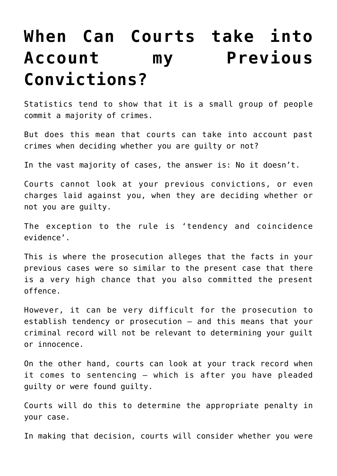## **[When Can Courts take into](https://downingcentrecourt.com.au/blog/when-can-courts-take-into-account-my-previous-convictions/) [Account my Previous](https://downingcentrecourt.com.au/blog/when-can-courts-take-into-account-my-previous-convictions/) [Convictions?](https://downingcentrecourt.com.au/blog/when-can-courts-take-into-account-my-previous-convictions/)**

Statistics tend to show that it is a small group of people commit a majority of crimes.

But does this mean that courts can take into account past crimes when deciding whether you are guilty or not?

In the vast majority of cases, the answer is: No it doesn't.

Courts cannot look at your previous convictions, or even charges laid against you, when they are deciding whether or not you are guilty.

The exception to the rule is 'tendency and coincidence evidence'.

This is where the prosecution alleges that the facts in your previous cases were so similar to the present case that there is a very high chance that you also committed the present offence.

However, it can be very difficult for the prosecution to establish tendency or prosecution – and this means that your criminal record will not be relevant to determining your guilt or innocence.

On the other hand, courts can look at your track record when it comes to sentencing – which is after you have pleaded guilty or were found guilty.

Courts will do this to determine the appropriate penalty in your case.

In making that decision, courts will consider whether you were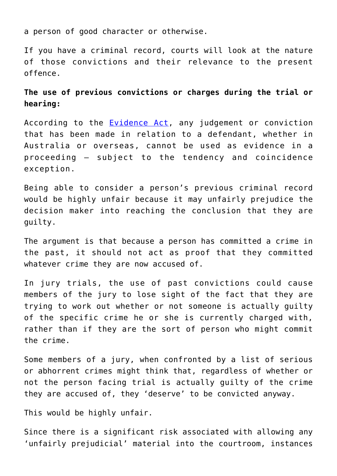a person of good character or otherwise.

If you have a criminal record, courts will look at the nature of those convictions and their relevance to the present offence.

## **The use of previous convictions or charges during the trial or hearing:**

According to the **Evidence Act**, any judgement or conviction that has been made in relation to a defendant, whether in Australia or overseas, cannot be used as evidence in a proceeding – subject to the tendency and coincidence exception.

Being able to consider a person's previous criminal record would be highly unfair because it may unfairly prejudice the decision maker into reaching the conclusion that they are guilty.

The argument is that because a person has committed a crime in the past, it should not act as proof that they committed whatever crime they are now accused of.

In jury trials, the use of past convictions could cause members of the jury to lose sight of the fact that they are trying to work out whether or not someone is actually guilty of the specific crime he or she is currently charged with, rather than if they are the sort of person who might commit the crime.

Some members of a jury, when confronted by a list of serious or abhorrent crimes might think that, regardless of whether or not the person facing trial is actually guilty of the crime they are accused of, they 'deserve' to be convicted anyway.

This would be highly unfair.

Since there is a significant risk associated with allowing any 'unfairly prejudicial' material into the courtroom, instances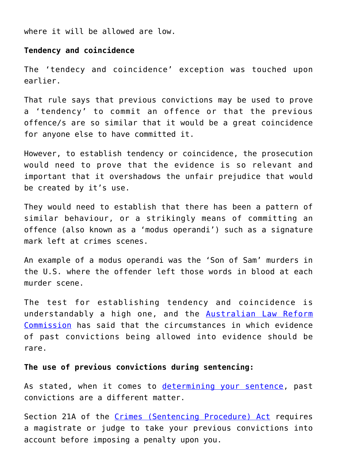where it will be allowed are low.

## **Tendency and coincidence**

The 'tendecy and coincidence' exception was touched upon earlier.

That rule says that previous convictions may be used to prove a 'tendency' to commit an offence or that the previous offence/s are so similar that it would be a great coincidence for anyone else to have committed it.

However, to establish tendency or coincidence, the prosecution would need to prove that the evidence is so relevant and important that it overshadows the unfair prejudice that would be created by it's use.

They would need to establish that there has been a pattern of similar behaviour, or a strikingly means of committing an offence (also known as a 'modus operandi') such as a signature mark left at crimes scenes.

An example of a modus operandi was the 'Son of Sam' murders in the U.S. where the offender left those words in blood at each murder scene.

The test for establishing tendency and coincidence is understandably a high one, and the **[Australian Law Reform](http://www.alrc.gov.au/publications/3.%20Understanding%20the%20Uniform%20Evidence%20Acts/introduction)** [Commission](http://www.alrc.gov.au/publications/3.%20Understanding%20the%20Uniform%20Evidence%20Acts/introduction) has said that the circumstances in which evidence of past convictions being allowed into evidence should be rare.

## **The use of previous convictions during sentencing:**

As stated, when it comes to [determining your sentence](https://downingcentrecourt.com.au/blog/how-will-the-magistrate-determine-my-sentence/), past convictions are a different matter.

Section 21A of the [Crimes \(Sentencing Procedure\) Act](http://www.austlii.edu.au/au/legis/nsw/consol_act/cpa1999278/s21a.html) requires a magistrate or judge to take your previous convictions into account before imposing a penalty upon you.